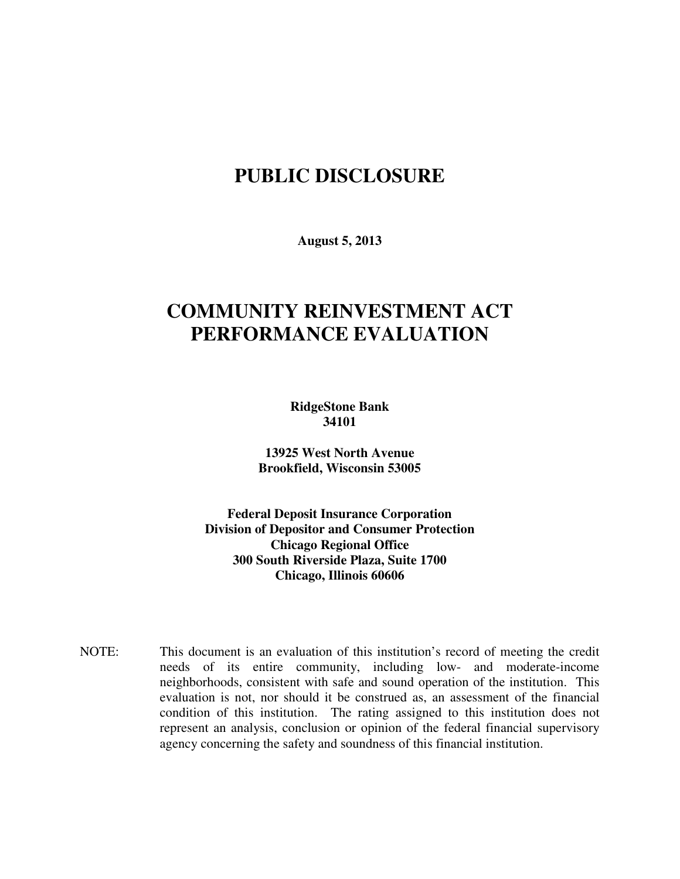## **PUBLIC DISCLOSURE**

**August 5, 2013** 

# **COMMUNITY REINVESTMENT ACT PERFORMANCE EVALUATION**

**RidgeStone Bank 34101** 

 **13925 West North Avenue Brookfield, Wisconsin 53005** 

 **Federal Deposit Insurance Corporation Division of Depositor and Consumer Protection Chicago Regional Office 300 South Riverside Plaza, Suite 1700 Chicago, Illinois 60606** 

NOTE: This document is an evaluation of this institution's record of meeting the credit needs of its entire community, including low- and moderate-income neighborhoods, consistent with safe and sound operation of the institution.This evaluation is not, nor should it be construed as, an assessment of the financial condition of this institution. The rating assigned to this institution does not represent an analysis, conclusion or opinion of the federal financial supervisory agency concerning the safety and soundness of this financial institution.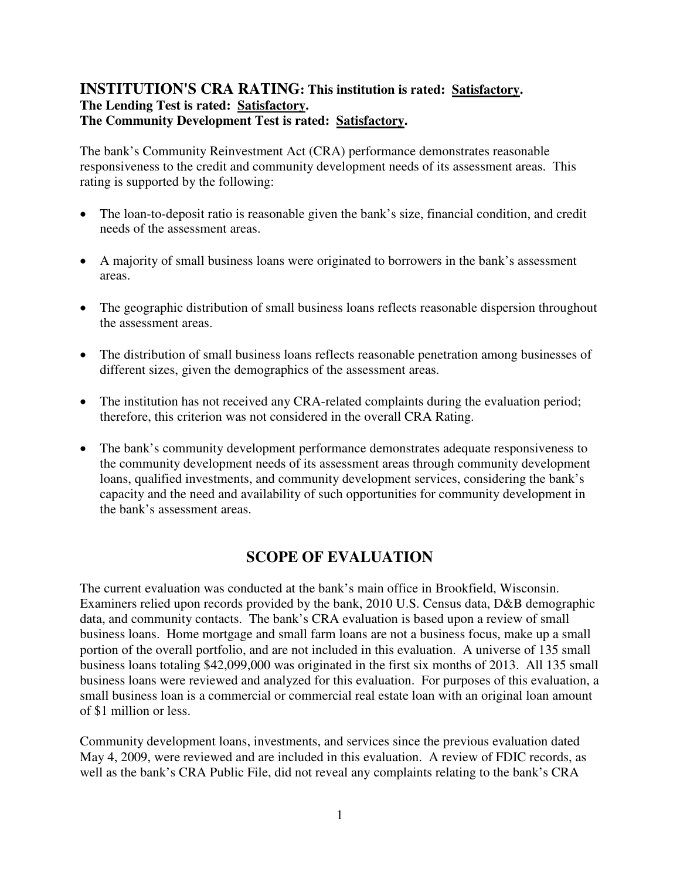#### **INSTITUTION'S CRA RATING: This institution is rated: Satisfactory. The Lending Test is rated: Satisfactory. The Community Development Test is rated: Satisfactory.**

The bank's Community Reinvestment Act (CRA) performance demonstrates reasonable responsiveness to the credit and community development needs of its assessment areas. This rating is supported by the following:

- The loan-to-deposit ratio is reasonable given the bank's size, financial condition, and credit needs of the assessment areas.
- A majority of small business loans were originated to borrowers in the bank's assessment areas.
- The geographic distribution of small business loans reflects reasonable dispersion throughout the assessment areas.
- The distribution of small business loans reflects reasonable penetration among businesses of different sizes, given the demographics of the assessment areas.
- The institution has not received any CRA-related complaints during the evaluation period; therefore, this criterion was not considered in the overall CRA Rating.
- The bank's community development performance demonstrates adequate responsiveness to the community development needs of its assessment areas through community development loans, qualified investments, and community development services, considering the bank's capacity and the need and availability of such opportunities for community development in the bank's assessment areas.

### **SCOPE OF EVALUATION**

The current evaluation was conducted at the bank's main office in Brookfield, Wisconsin. Examiners relied upon records provided by the bank, 2010 U.S. Census data, D&B demographic data, and community contacts. The bank's CRA evaluation is based upon a review of small business loans. Home mortgage and small farm loans are not a business focus, make up a small portion of the overall portfolio, and are not included in this evaluation. A universe of 135 small business loans totaling \$42,099,000 was originated in the first six months of 2013. All 135 small business loans were reviewed and analyzed for this evaluation. For purposes of this evaluation, a small business loan is a commercial or commercial real estate loan with an original loan amount of \$1 million or less.

Community development loans, investments, and services since the previous evaluation dated May 4, 2009, were reviewed and are included in this evaluation. A review of FDIC records, as well as the bank's CRA Public File, did not reveal any complaints relating to the bank's CRA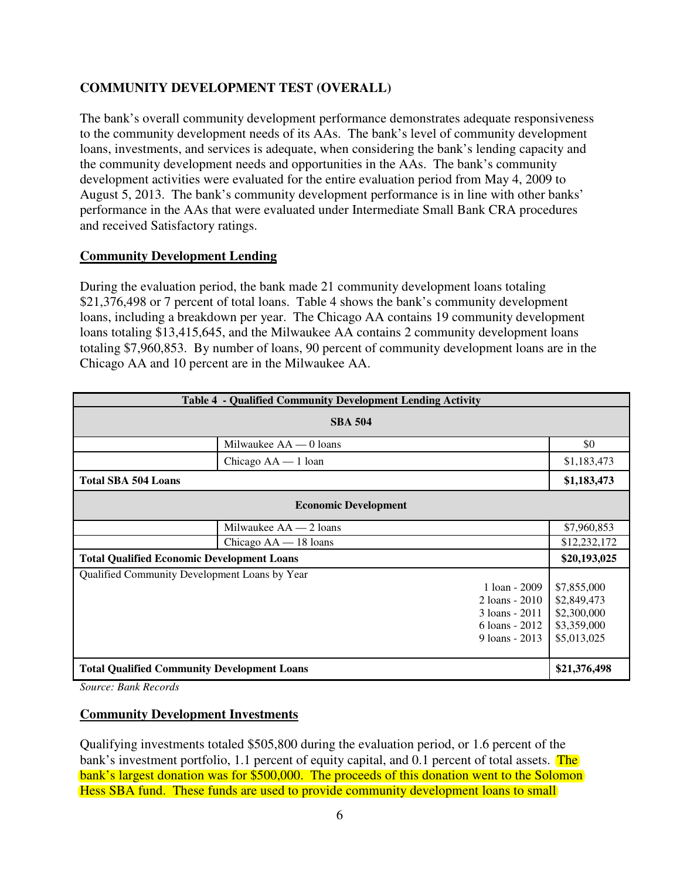#### **COMMUNITY DEVELOPMENT TEST (OVERALL)**

The bank's overall community development performance demonstrates adequate responsiveness to the community development needs of its AAs. The bank's level of community development loans, investments, and services is adequate, when considering the bank's lending capacity and the community development needs and opportunities in the AAs. The bank's community development activities were evaluated for the entire evaluation period from May 4, 2009 to August 5, 2013. The bank's community development performance is in line with other banks' performance in the AAs that were evaluated under Intermediate Small Bank CRA procedures and received Satisfactory ratings.

#### **Community Development Lending**

During the evaluation period, the bank made 21 community development loans totaling \$21,376,498 or 7 percent of total loans. Table 4 shows the bank's community development loans, including a breakdown per year. The Chicago AA contains 19 community development loans totaling \$13,415,645, and the Milwaukee AA contains 2 community development loans totaling \$7,960,853. By number of loans, 90 percent of community development loans are in the Chicago AA and 10 percent are in the Milwaukee AA.

| Table 4 - Qualified Community Development Lending Activity |                          |              |
|------------------------------------------------------------|--------------------------|--------------|
| <b>SBA 504</b>                                             |                          |              |
|                                                            | Milwaukee $AA = 0$ loans | \$0          |
|                                                            | Chicago AA - 1 loan      | \$1,183,473  |
| <b>Total SBA 504 Loans</b>                                 |                          | \$1,183,473  |
| <b>Economic Development</b>                                |                          |              |
|                                                            | Milwaukee $AA - 2$ loans | \$7,960,853  |
|                                                            | Chicago $AA - 18$ loans  | \$12,232,172 |
| <b>Total Qualified Economic Development Loans</b>          |                          | \$20,193,025 |
| Qualified Community Development Loans by Year              |                          |              |
| 1 loan - $2009$                                            |                          | \$7,855,000  |
| $2$ loans - $2010$                                         |                          | \$2,849,473  |
| $3$ loans - $2011$                                         |                          | \$2,300,000  |
| $6$ loans - 2012                                           |                          | \$3,359,000  |
|                                                            | 9 loans - $2013$         | \$5,013,025  |
|                                                            |                          |              |
| <b>Total Qualified Community Development Loans</b>         |                          |              |

*Source: Bank Records* 

#### **Community Development Investments**

Qualifying investments totaled \$505,800 during the evaluation period, or 1.6 percent of the bank's investment portfolio, 1.1 percent of equity capital, and 0.1 percent of total assets. The bank's largest donation was for \$500,000. The proceeds of this donation went to the Solomon Hess SBA fund. These funds are used to provide community development loans to small